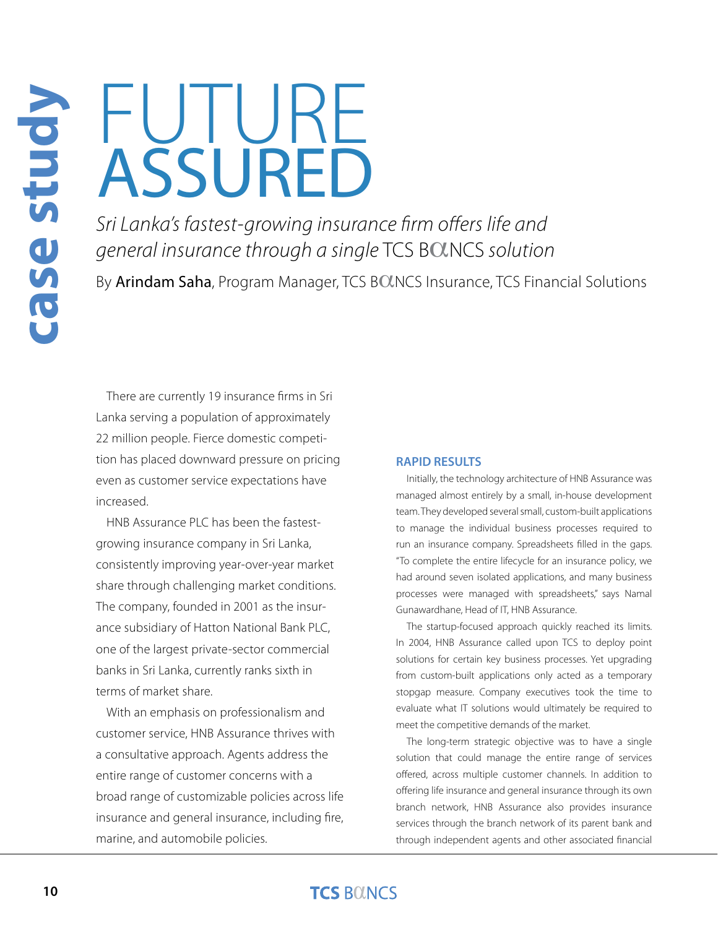**case study**

# F **ASSURED**

*Sri Lanka's fastest-growing insurance firm offers life and general insurance through a single* TCS BOLNCS solution

By Arindam Saha, Program Manager, TCS BOLNCS Insurance, TCS Financial Solutions

There are currently 19 insurance firms in Sri Lanka serving a population of approximately 22 million people. Fierce domestic competition has placed downward pressure on pricing even as customer service expectations have increased.

HNB Assurance PLC has been the fastestgrowing insurance company in Sri Lanka, consistently improving year-over-year market share through challenging market conditions. The company, founded in 2001 as the insurance subsidiary of Hatton National Bank PLC, one of the largest private-sector commercial banks in Sri Lanka, currently ranks sixth in terms of market share.

With an emphasis on professionalism and customer service, HNB Assurance thrives with a consultative approach. Agents address the entire range of customer concerns with a broad range of customizable policies across life insurance and general insurance, including fire, marine, and automobile policies.

#### **RAPID RESULTS**

Initially, the technology architecture of HNB Assurance was managed almost entirely by a small, in-house development team. They developed several small, custom-built applications to manage the individual business processes required to run an insurance company. Spreadsheets filled in the gaps. "To complete the entire lifecycle for an insurance policy, we had around seven isolated applications, and many business processes were managed with spreadsheets," says Namal Gunawardhane, Head of IT, HNB Assurance.

The startup-focused approach quickly reached its limits. In 2004, HNB Assurance called upon TCS to deploy point solutions for certain key business processes. Yet upgrading from custom-built applications only acted as a temporary stopgap measure. Company executives took the time to evaluate what IT solutions would ultimately be required to meet the competitive demands of the market.

The long-term strategic objective was to have a single solution that could manage the entire range of services offered, across multiple customer channels. In addition to offering life insurance and general insurance through its own branch network, HNB Assurance also provides insurance services through the branch network of its parent bank and through independent agents and other associated financial

#### **TCS BOINCS**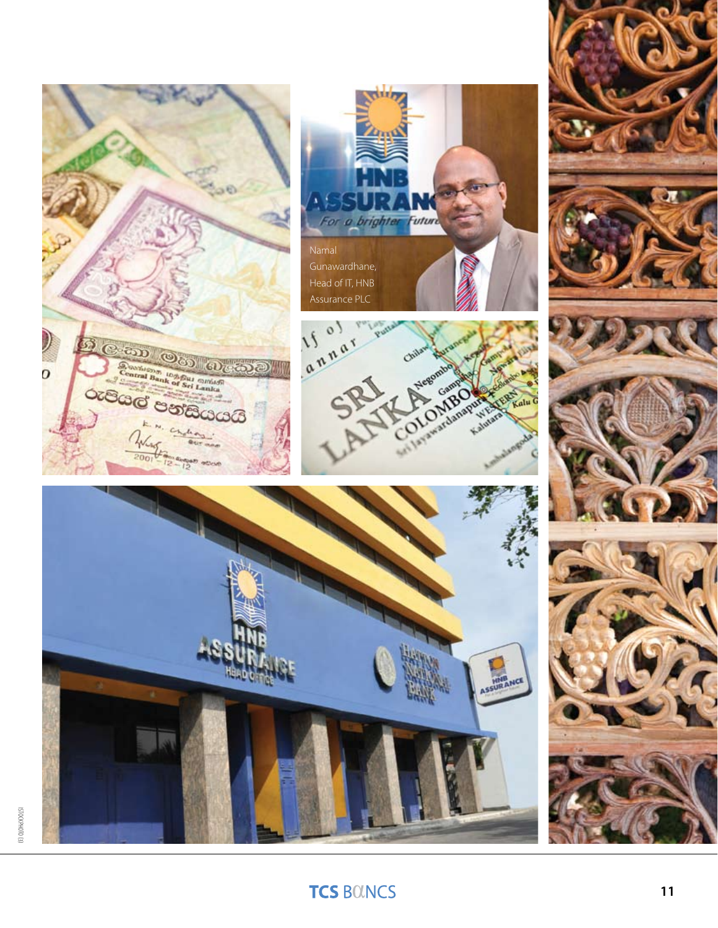

# ISTOCKPH0T0 (3)

## **TCS BOUNCS**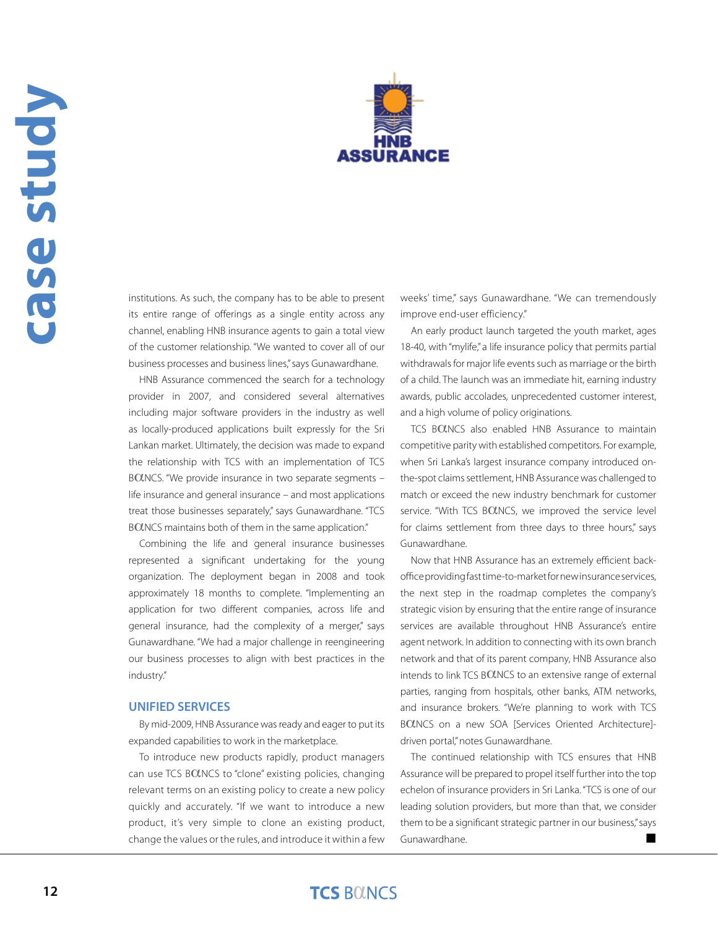

institutions. As such, the company has to be able to present its entire range of offerings as a single entity across any channel, enabling HNB insurance agents to gain a total view of the customer relationship. "We wanted to cover all of our business processes and business lines," says Gunawardhane.

HNB Assurance commenced the search for a technology provider in 2007, and considered several alternatives including major software providers in the industry as well as locally-produced applications built expressly for the Sri Lankan market. Ultimately, the decision was made to expand the relationship with TCS with an implementation of TCS BOLNCS. "We provide insurance in two separate segments life insurance and general insurance – and most applications treat those businesses separately," says Gunawardhane. "TCS BOUNCS maintains both of them in the same application."

Combining the life and general insurance businesses represented a significant undertaking for the young organization. The deployment began in 2008 and took approximately 18 months to complete. "Implementing an application for two different companies, across life and general insurance, had the complexity of a merger," says Gunawardhane. "We had a major challenge in reengineering our business processes to align with best practices in the industry."

#### **UNIFIED SERVICES**

By mid-2009, HNB Assurance was ready and eager to put its expanded capabilities to work in the marketplace.

To introduce new products rapidly, product managers can use TCS BOLNCS to "clone" existing policies, changing relevant terms on an existing policy to create a new policy quickly and accurately. "If we want to introduce a new product, it's very simple to clone an existing product, change the values or the rules, and introduce it within a few

weeks' time," says Gunawardhane. "We can tremendously improve end-user efficiency."

An early product launch targeted the youth market, ages 18-40, with "mylife," a life insurance policy that permits partial withdrawals for major life events such as marriage or the birth of a child. The launch was an immediate hit, earning industry awards, public accolades, unprecedented customer interest, and a high volume of policy originations.

TCS BOLNCS also enabled HNB Assurance to maintain competitive parity with established competitors. For example, when Sri Lanka's largest insurance company introduced onthe-spot claims settlement, HNB Assurance was challenged to match or exceed the new industry benchmark for customer service. "With TCS BOLNCS, we improved the service level for claims settlement from three days to three hours," says Gunawardhane.

Now that HNB Assurance has an extremely efficient backoffice providing fast time-to-market for new insurance services, the next step in the roadmap completes the company's strategic vision by ensuring that the entire range of insurance services are available throughout HNB Assurance's entire agent network. In addition to connecting with its own branch network and that of its parent company, HNB Assurance also intends to link TCS BOLNCS to an extensive range of external parties, ranging from hospitals, other banks, ATM networks, and insurance brokers. "We're planning to work with TCS BOUNCS on a new SOA [Services Oriented Architecture]driven portal," notes Gunawardhane.

The continued relationship with TCS ensures that HNB Assurance will be prepared to propel itself further into the top echelon of insurance providers in Sri Lanka. "TCS is one of our leading solution providers, but more than that, we consider them to be a significant strategic partner in our business," says Gunawardhane. The contract of the contract of the contract of the contract of the contract of the contract of the contract of the contract of the contract of the contract of the contract of the contract of the contract of